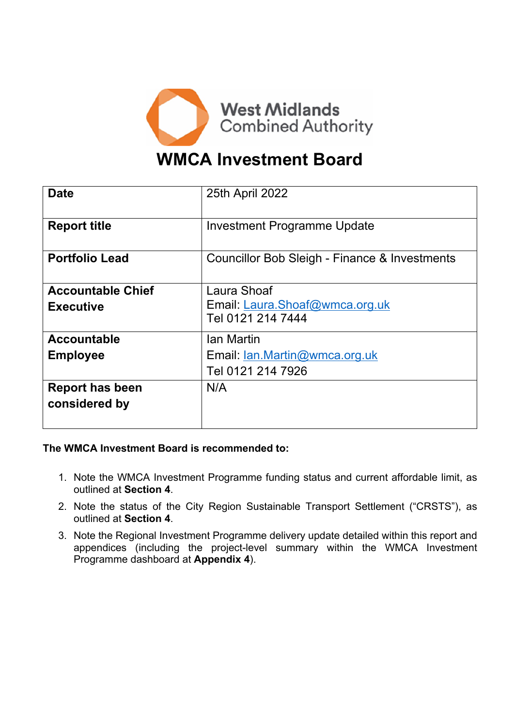

# **WMCA Investment Board**

| <b>Date</b>              | 25th April 2022                               |
|--------------------------|-----------------------------------------------|
| <b>Report title</b>      | <b>Investment Programme Update</b>            |
| <b>Portfolio Lead</b>    | Councillor Bob Sleigh - Finance & Investments |
| <b>Accountable Chief</b> | Laura Shoaf                                   |
| <b>Executive</b>         | Email: Laura.Shoaf@wmca.org.uk                |
|                          | Tel 0121 214 7444                             |
| <b>Accountable</b>       | Ian Martin                                    |
| <b>Employee</b>          | Email: Ian.Martin@wmca.org.uk                 |
|                          | Tel 0121 214 7926                             |
| <b>Report has been</b>   | N/A                                           |
| considered by            |                                               |
|                          |                                               |

**The WMCA Investment Board is recommended to:**

- 1. Note the WMCA Investment Programme funding status and current affordable limit, as outlined at **Section 4**.
- 2. Note the status of the City Region Sustainable Transport Settlement ("CRSTS"), as outlined at **Section 4**.
- 3. Note the Regional Investment Programme delivery update detailed within this report and appendices (including the project-level summary within the WMCA Investment Programme dashboard at **Appendix 4**).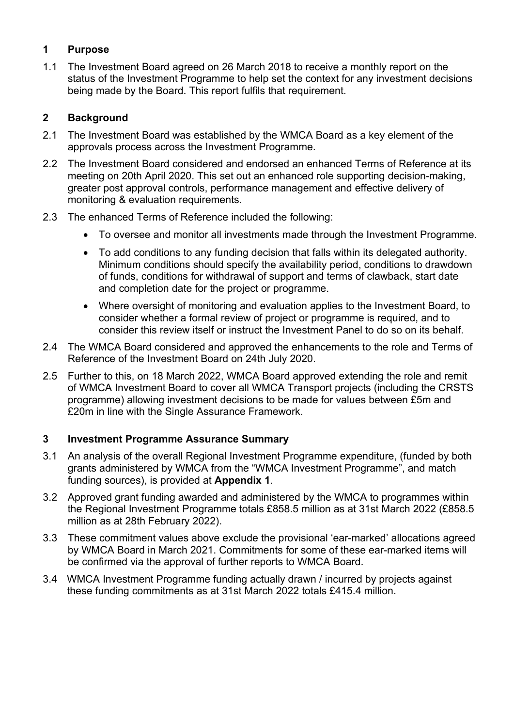## **1 Purpose**

1.1 The Investment Board agreed on 26 March 2018 to receive a monthly report on the status of the Investment Programme to help set the context for any investment decisions being made by the Board. This report fulfils that requirement.

## **2 Background**

- 2.1 The Investment Board was established by the WMCA Board as a key element of the approvals process across the Investment Programme.
- 2.2 The Investment Board considered and endorsed an enhanced Terms of Reference at its meeting on 20th April 2020. This set out an enhanced role supporting decision-making, greater post approval controls, performance management and effective delivery of monitoring & evaluation requirements.
- 2.3 The enhanced Terms of Reference included the following:
	- To oversee and monitor all investments made through the Investment Programme.
	- To add conditions to any funding decision that falls within its delegated authority. Minimum conditions should specify the availability period, conditions to drawdown of funds, conditions for withdrawal of support and terms of clawback, start date and completion date for the project or programme.
	- Where oversight of monitoring and evaluation applies to the Investment Board, to consider whether a formal review of project or programme is required, and to consider this review itself or instruct the Investment Panel to do so on its behalf.
- 2.4 The WMCA Board considered and approved the enhancements to the role and Terms of Reference of the Investment Board on 24th July 2020.
- 2.5 Further to this, on 18 March 2022, WMCA Board approved extending the role and remit of WMCA Investment Board to cover all WMCA Transport projects (including the CRSTS programme) allowing investment decisions to be made for values between £5m and £20m in line with the Single Assurance Framework.

## **3 Investment Programme Assurance Summary**

- 3.1 An analysis of the overall Regional Investment Programme expenditure, (funded by both grants administered by WMCA from the "WMCA Investment Programme", and match funding sources), is provided at **Appendix 1**.
- 3.2 Approved grant funding awarded and administered by the WMCA to programmes within the Regional Investment Programme totals £858.5 million as at 31st March 2022 (£858.5 million as at 28th February 2022).
- 3.3 These commitment values above exclude the provisional 'ear-marked' allocations agreed by WMCA Board in March 2021. Commitments for some of these ear-marked items will be confirmed via the approval of further reports to WMCA Board.
- 3.4 WMCA Investment Programme funding actually drawn / incurred by projects against these funding commitments as at 31st March 2022 totals £415.4 million.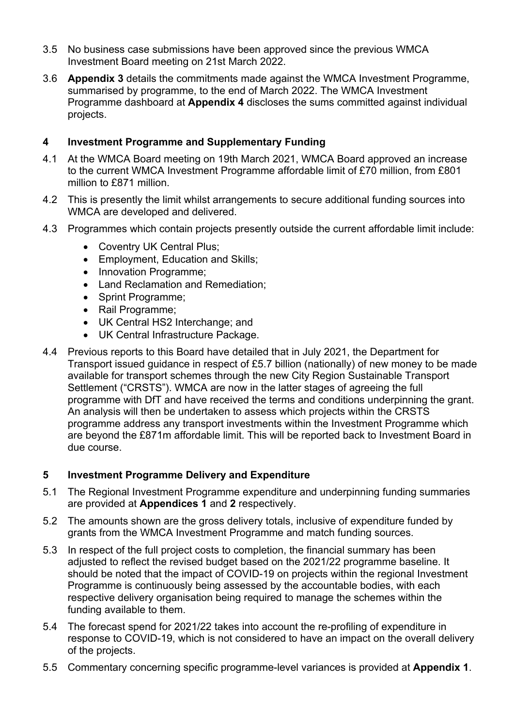- 3.5 No business case submissions have been approved since the previous WMCA Investment Board meeting on 21st March 2022.
- 3.6 **Appendix 3** details the commitments made against the WMCA Investment Programme, summarised by programme, to the end of March 2022. The WMCA Investment Programme dashboard at **Appendix 4** discloses the sums committed against individual projects.

## **4 Investment Programme and Supplementary Funding**

- 4.1 At the WMCA Board meeting on 19th March 2021, WMCA Board approved an increase to the current WMCA Investment Programme affordable limit of £70 million, from £801 million to £871 million.
- 4.2 This is presently the limit whilst arrangements to secure additional funding sources into WMCA are developed and delivered.
- 4.3 Programmes which contain projects presently outside the current affordable limit include:
	- Coventry UK Central Plus;
	- Employment, Education and Skills;
	- Innovation Programme;
	- Land Reclamation and Remediation;
	- Sprint Programme;
	- Rail Programme;
	- UK Central HS2 Interchange; and
	- UK Central Infrastructure Package.
- 4.4 Previous reports to this Board have detailed that in July 2021, the Department for Transport issued guidance in respect of £5.7 billion (nationally) of new money to be made available for transport schemes through the new City Region Sustainable Transport Settlement ("CRSTS"). WMCA are now in the latter stages of agreeing the full programme with DfT and have received the terms and conditions underpinning the grant. An analysis will then be undertaken to assess which projects within the CRSTS programme address any transport investments within the Investment Programme which are beyond the £871m affordable limit. This will be reported back to Investment Board in due course.

## **5 Investment Programme Delivery and Expenditure**

- 5.1 The Regional Investment Programme expenditure and underpinning funding summaries are provided at **Appendices 1** and **2** respectively.
- 5.2 The amounts shown are the gross delivery totals, inclusive of expenditure funded by grants from the WMCA Investment Programme and match funding sources.
- 5.3 In respect of the full project costs to completion, the financial summary has been adjusted to reflect the revised budget based on the 2021/22 programme baseline. It should be noted that the impact of COVID-19 on projects within the regional Investment Programme is continuously being assessed by the accountable bodies, with each respective delivery organisation being required to manage the schemes within the funding available to them.
- 5.4 The forecast spend for 2021/22 takes into account the re-profiling of expenditure in response to COVID-19, which is not considered to have an impact on the overall delivery of the projects.
- 5.5 Commentary concerning specific programme-level variances is provided at **Appendix 1**.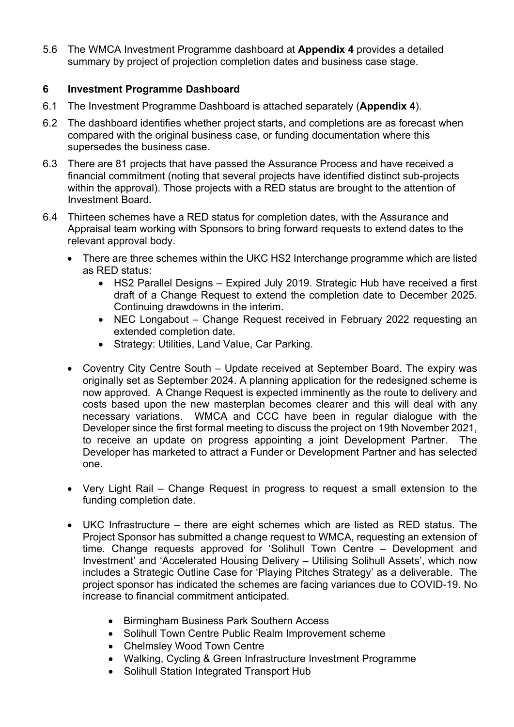5.6 The WMCA Investment Programme dashboard at **Appendix 4** provides a detailed summary by project of projection completion dates and business case stage.

## **6 Investment Programme Dashboard**

- 6.1 The Investment Programme Dashboard is attached separately (**Appendix 4**).
- 6.2 The dashboard identifies whether project starts, and completions are as forecast when compared with the original business case, or funding documentation where this supersedes the business case.
- 6.3 There are 81 projects that have passed the Assurance Process and have received a financial commitment (noting that several projects have identified distinct sub-projects within the approval). Those projects with a RED status are brought to the attention of Investment Board.
- 6.4 Thirteen schemes have a RED status for completion dates, with the Assurance and Appraisal team working with Sponsors to bring forward requests to extend dates to the relevant approval body.
	- There are three schemes within the UKC HS2 Interchange programme which are listed as RED status:
		- HS2 Parallel Designs Expired July 2019. Strategic Hub have received a first draft of a Change Request to extend the completion date to December 2025. Continuing drawdowns in the interim.
		- NEC Longabout Change Request received in February 2022 requesting an extended completion date.
		- Strategy: Utilities, Land Value, Car Parking.
	- Coventry City Centre South Update received at September Board. The expiry was originally set as September 2024. A planning application for the redesigned scheme is now approved. A Change Request is expected imminently as the route to delivery and costs based upon the new masterplan becomes clearer and this will deal with any necessary variations. WMCA and CCC have been in regular dialogue with the Developer since the first formal meeting to discuss the project on 19th November 2021, to receive an update on progress appointing a joint Development Partner. The Developer has marketed to attract a Funder or Development Partner and has selected one.
	- Very Light Rail Change Request in progress to request a small extension to the funding completion date.
	- UKC Infrastructure there are eight schemes which are listed as RED status. The Project Sponsor has submitted a change request to WMCA, requesting an extension of time. Change requests approved for 'Solihull Town Centre – Development and Investment' and 'Accelerated Housing Delivery – Utilising Solihull Assets', which now includes a Strategic Outline Case for 'Playing Pitches Strategy' as a deliverable. The project sponsor has indicated the schemes are facing variances due to COVID-19. No increase to financial commitment anticipated.
		- Birmingham Business Park Southern Access
		- Solihull Town Centre Public Realm Improvement scheme
		- Chelmsley Wood Town Centre
		- Walking, Cycling & Green Infrastructure Investment Programme
		- Solihull Station Integrated Transport Hub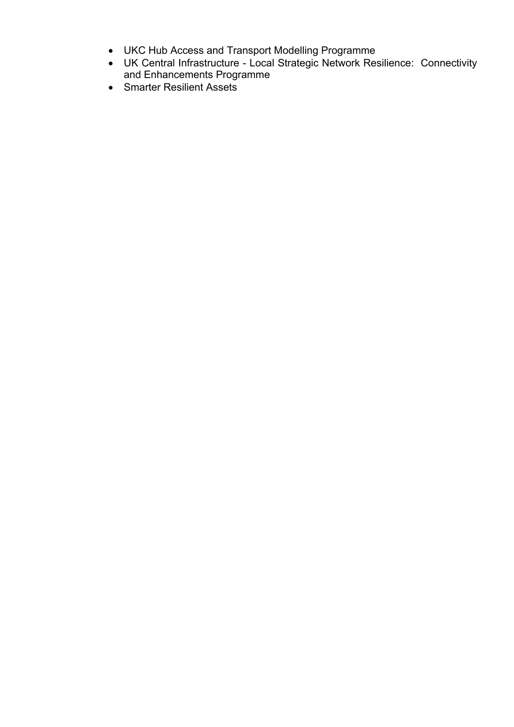- UKC Hub Access and Transport Modelling Programme
- UK Central Infrastructure Local Strategic Network Resilience: Connectivity and Enhancements Programme
- Smarter Resilient Assets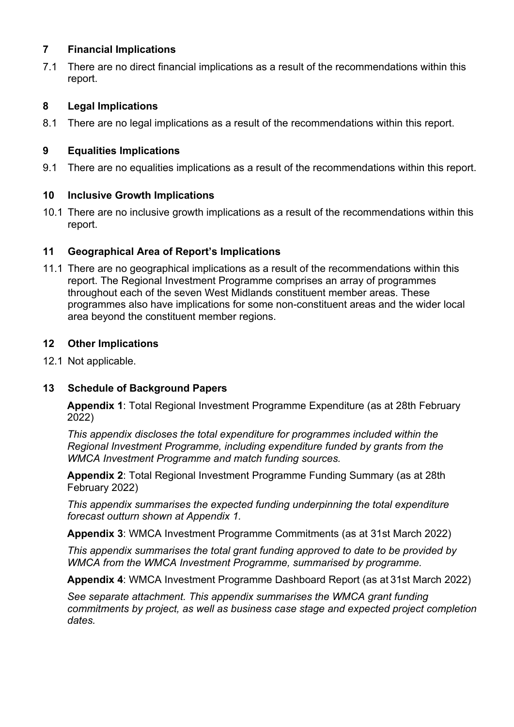### **7 Financial Implications**

7.1 There are no direct financial implications as a result of the recommendations within this report.

## **8 Legal Implications**

8.1 There are no legal implications as a result of the recommendations within this report.

## **9 Equalities Implications**

9.1 There are no equalities implications as a result of the recommendations within this report.

### **10 Inclusive Growth Implications**

10.1 There are no inclusive growth implications as a result of the recommendations within this report.

## **11 Geographical Area of Report's Implications**

11.1 There are no geographical implications as a result of the recommendations within this report. The Regional Investment Programme comprises an array of programmes throughout each of the seven West Midlands constituent member areas. These programmes also have implications for some non-constituent areas and the wider local area beyond the constituent member regions.

### **12 Other Implications**

12.1 Not applicable.

## **13 Schedule of Background Papers**

**Appendix 1**: Total Regional Investment Programme Expenditure (as at 28th February 2022)

*This appendix discloses the total expenditure for programmes included within the Regional Investment Programme, including expenditure funded by grants from the WMCA Investment Programme and match funding sources.*

**Appendix 2**: Total Regional Investment Programme Funding Summary (as at 28th February 2022)

*This appendix summarises the expected funding underpinning the total expenditure forecast outturn shown at Appendix 1.*

**Appendix 3**: WMCA Investment Programme Commitments (as at 31st March 2022)

*This appendix summarises the total grant funding approved to date to be provided by WMCA from the WMCA Investment Programme, summarised by programme.*

**Appendix 4**: WMCA Investment Programme Dashboard Report (as at 31st March 2022)

*See separate attachment. This appendix summarises the WMCA grant funding commitments by project, as well as business case stage and expected project completion dates.*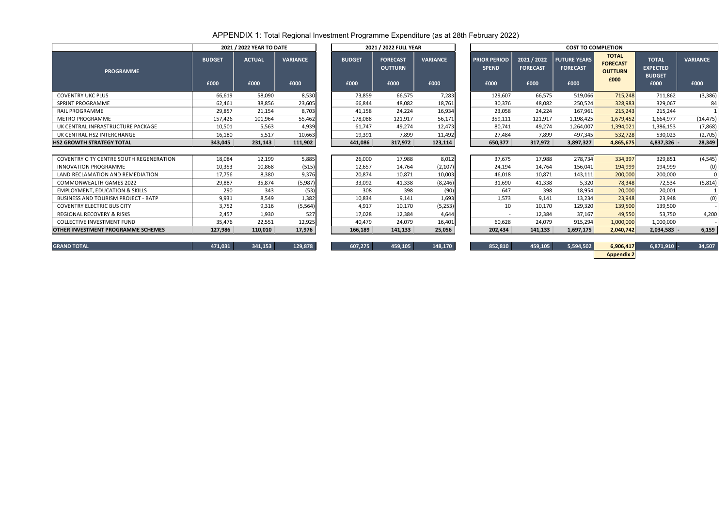## APPENDIX 1: Total Regional Investment Programme Expenditure (as at 28th February 2022)

|                    | 2021 / 2022 YEAR TO DATE |                         |                       | 2021 / 2022 FULL YEAR                     |                         | <b>COST TO COMPLETION</b>                   |                                        |                                                |                                                           |                                                          |                         |  |  |  |
|--------------------|--------------------------|-------------------------|-----------------------|-------------------------------------------|-------------------------|---------------------------------------------|----------------------------------------|------------------------------------------------|-----------------------------------------------------------|----------------------------------------------------------|-------------------------|--|--|--|
| <b>DGET</b><br>000 | <b>ACTUAL</b><br>£000    | <b>VARIANCE</b><br>£000 | <b>BUDGET</b><br>£000 | <b>FORECAST</b><br><b>OUTTURN</b><br>£000 | <b>VARIANCE</b><br>£000 | <b>PRIOR PERIOD</b><br><b>SPEND</b><br>£000 | 2021 / 2022<br><b>FORECAST</b><br>£000 | <b>FUTURE YEARS</b><br><b>FORECAST</b><br>£000 | <b>TOTAL</b><br><b>FORECAST</b><br><b>OUTTURN</b><br>£000 | <b>TOTAL</b><br><b>EXPECTED</b><br><b>BUDGET</b><br>£000 | <b>VARIANCE</b><br>£000 |  |  |  |
| 66,619             | 58,090                   | 8,530                   | 73,859                | 66,575                                    | 7,283                   | 129,607                                     | 66,575                                 | 519,066                                        | 715,248                                                   | 711,862                                                  | (3, 386)                |  |  |  |
| 62,461             | 38,856                   | 23,605                  | 66,844                | 48,082                                    | 18,761                  | 30,376                                      | 48,082                                 | 250,524                                        | 328,983                                                   | 329,067                                                  | 84                      |  |  |  |
| 29,857             | 21,154                   | 8,703                   | 41,158                | 24,224                                    | 16,934                  | 23,058                                      | 24,224                                 | 167,961                                        | 215,243                                                   | 215,244                                                  |                         |  |  |  |
| 157,426            | 101,964                  | 55,462                  | 178,088               | 121,917                                   | 56,171                  | 359,111                                     | 121,917                                | 1,198,425                                      | 1,679,452                                                 | 1,664,977                                                | (14, 475)               |  |  |  |
| 10,501             | 5,563                    | 4,939                   | 61,747                | 49,274                                    | 12,473                  | 80,741                                      | 49,274                                 | 1,264,007                                      | 1,394,021                                                 | 1,386,153                                                | (7,868)                 |  |  |  |
| 16,180             | 5,517                    | 10,663                  | 19,391                | 7,899                                     | 11,492                  | 27,484                                      | 7,899                                  | 497,345                                        | 532,728                                                   | 530,023                                                  | (2,705)                 |  |  |  |
| 343,045            | 231,143                  | 111,902                 | 441,086               | 317,972                                   | 123,114                 | 650,377                                     | 317,972                                | 3,897,327                                      | 4,865,675                                                 | 4,837,326 -                                              | 28,349                  |  |  |  |
|                    |                          |                         |                       |                                           |                         |                                             |                                        |                                                |                                                           |                                                          |                         |  |  |  |
| 18,084             | 12,199                   | 5,885                   | 26,000                | 17,988                                    | 8,012                   | 37,675                                      | 17,988                                 | 278,734                                        | 334,397                                                   | 329,851                                                  | (4, 545)                |  |  |  |
| 10,353             | 10,868                   | (515)                   | 12,657                | 14,764                                    | (2, 107)                | 24,194                                      | 14,764                                 | 156,041                                        | 194,999                                                   | 194,999                                                  | (0)                     |  |  |  |
| 17,756             | 8,380                    | 9,376                   | 20,874                | 10,871                                    | 10,003                  | 46,018                                      | 10,871                                 | 143,111                                        | 200,000                                                   | 200,000                                                  | $\overline{0}$          |  |  |  |
| 29,887             | 35,874                   | (5,987)                 | 33,092                | 41,338                                    | (8, 246)                | 31,690                                      | 41,338                                 | 5,320                                          | 78,348                                                    | 72,534                                                   | (5,814)                 |  |  |  |
| 290                | 343                      | (53)                    | 308                   | 398                                       | (90)                    | 647                                         | 398                                    | 18,954                                         | 20,000                                                    | 20,001                                                   |                         |  |  |  |
| 9,931              | 8,549                    | 1,382                   | 10,834                | 9,141                                     | 1,693                   | 1,573                                       | 9,141                                  | 13,234                                         | 23,948                                                    | 23,948                                                   | (0)                     |  |  |  |
| 3,752              | 9,316                    | (5, 564)                | 4,917                 | 10,170                                    | (5,253)                 | 10                                          | 10,170                                 | 129,320                                        | 139,500                                                   | 139,500                                                  |                         |  |  |  |
| 2,457              | 1,930                    | 527                     | 17,028                | 12,384                                    | 4,644                   |                                             | 12,384                                 | 37,167                                         | 49,550                                                    | 53,750                                                   | 4,200                   |  |  |  |
| 35,476             | 22,551                   | 12,925                  | 40,479                | 24,079                                    | 16,401                  | 60,628                                      | 24,079                                 | 915,294                                        | 1,000,000                                                 | 1,000,000                                                |                         |  |  |  |
| 127,986            | 110,010                  | 17,976                  | 166,189               | 141,133                                   | 25,056                  | 202,434                                     | 141,133                                | 1,697,175                                      | 2,040,742                                                 | $2,034,583$ -                                            | 6,159                   |  |  |  |
|                    |                          |                         |                       |                                           |                         |                                             |                                        |                                                |                                                           |                                                          |                         |  |  |  |
| 171021             | $241.152$                | 120.070                 | 607.27E               | ACQ 1QE                                   | 149 170                 | O E 2.010                                   | ACQ 1QE                                | E E Q A E Q 1                                  | $C$ QOC $117$                                             | $C$ 071 010                                              | 24E07                   |  |  |  |

|                                             |                                        | <b>COST TO COMPLETION</b>                      |                                                           |                                                          |                         |
|---------------------------------------------|----------------------------------------|------------------------------------------------|-----------------------------------------------------------|----------------------------------------------------------|-------------------------|
| <b>PRIOR PERIOD</b><br><b>SPEND</b><br>£000 | 2021 / 2022<br><b>FORECAST</b><br>£000 | <b>FUTURE YEARS</b><br><b>FORECAST</b><br>£000 | <b>TOTAL</b><br><b>FORECAST</b><br><b>OUTTURN</b><br>£000 | <b>TOTAL</b><br><b>EXPECTED</b><br><b>BUDGET</b><br>£000 | <b>VARIANCE</b><br>£000 |
| 129,607                                     | 66,575                                 | 519,066                                        | 715,248                                                   | 711,862                                                  | (3, 386)                |
| 30,376                                      | 48,082                                 | 250,524                                        | 328,983                                                   | 329,067                                                  | 84                      |
| 23,058                                      | 24,224                                 | 167,961                                        | 215,243                                                   | 215,244                                                  |                         |
| 359,111                                     | 121,917                                | 1,198,425                                      | 1,679,452                                                 | 1,664,977                                                | (14, 475)               |
| 80,741                                      | 49,274                                 | 1,264,007                                      | 1,394,021                                                 | 1,386,153                                                | (7,868)                 |
| 27,484                                      | 7,899                                  | 497,345                                        | 532,728<br>530,023                                        |                                                          | (2,705)                 |
| 650,377                                     | 317,972                                | 3,897,327                                      | 4,865,675                                                 | 4,837,326 -                                              | 28,349                  |
|                                             |                                        |                                                |                                                           |                                                          |                         |
| 37,675                                      | 17,988                                 | 278,734                                        | 334,397                                                   | 329,851                                                  | (4, 545)                |
| 24,194                                      | 14,764                                 | 156,041                                        | 194,999                                                   | 194,999                                                  | (0)                     |
| 46,018                                      | 10,871                                 | 143,111                                        | 200,000                                                   | 200,000                                                  | 0                       |
| 31,690                                      | 41,338                                 | 5,320                                          | 78,348                                                    | 72,534                                                   | (5, 814)                |
| 647                                         | 398                                    | 18,954                                         | 20,000                                                    | 20,001                                                   |                         |
| 1,573                                       | 9,141                                  | 13,234                                         | 23,948                                                    | 23,948                                                   | (0)                     |
| 10                                          | 10,170                                 | 129,320                                        | 139,500                                                   | 139,500                                                  |                         |
|                                             | 12,384                                 | 37,167                                         | 49,550                                                    | 53,750                                                   | 4,200                   |
| 60,628                                      | 24,079                                 | 915,294                                        | 1,000,000                                                 | 1,000,000                                                |                         |
| 202,434                                     | 141,133                                | 1,697,175                                      | 2,040,742                                                 | 2,034,583 -                                              | 6,159                   |
|                                             |                                        |                                                |                                                           |                                                          |                         |
| <b>OED 010</b>                              | ACQ 1QE                                | E COA COZ                                      | $C$ and $17$                                              | $C$ 071 010                                              | 24E07                   |

|                                                |               | 2021 / 2022 YEAR TO DATE |                 |               | 2021 / 2022 FULL YEAR             |                 | <b>COST TO COMPLETION</b>           |                                |                                        |                                                   |                                                  |                 |
|------------------------------------------------|---------------|--------------------------|-----------------|---------------|-----------------------------------|-----------------|-------------------------------------|--------------------------------|----------------------------------------|---------------------------------------------------|--------------------------------------------------|-----------------|
| <b>PROGRAMME</b>                               | <b>BUDGET</b> | <b>ACTUAL</b>            | <b>VARIANCE</b> | <b>BUDGET</b> | <b>FORECAST</b><br><b>OUTTURN</b> | <b>VARIANCE</b> | <b>PRIOR PERIOD</b><br><b>SPEND</b> | 2021 / 2022<br><b>FORECAST</b> | <b>FUTURE YEARS</b><br><b>FORECAST</b> | <b>TOTAL</b><br><b>FORECAST</b><br><b>OUTTURN</b> | <b>TOTAL</b><br><b>EXPECTED</b><br><b>BUDGET</b> | <b>VARIANCE</b> |
|                                                | £000          | £000                     | £000            | £000          | £000                              | £000            | £000                                | £000                           | £000                                   | £000                                              | £000                                             | £000            |
| <b>COVENTRY UKC PLUS</b>                       | 66,619        | 58,090                   | 8,530           | 73,859        | 66,575                            | 7,283           | 129,607                             | 66,575                         | 519,066                                | 715,248                                           | 711,862                                          | (3, 386)        |
| SPRINT PROGRAMME                               | 62,461        | 38,856                   | 23,605          | 66,844        | 48,082                            | 18,761          | 30,376                              | 48,082                         | 250,524                                | 328,983                                           | 329,067                                          | 84              |
| <b>RAIL PROGRAMME</b>                          | 29,857        | 21,154                   | 8,703           | 41,158        | 24,224                            | 16,934          | 23,058                              | 24,224                         | 167,961                                | 215,243                                           | 215,244                                          |                 |
| <b>METRO PROGRAMME</b>                         | 157,426       | 101,964                  | 55,462          | 178,088       | 121,917                           | 56,171          | 359,111                             | 121,917                        | 1,198,425                              | 1,679,452                                         | 1,664,977                                        | (14, 475)       |
| UK CENTRAL INFRASTRUCTURE PACKAGE              | 10,501        | 5.563                    | 4,939           | 61,747        | 49,274                            | 12,473          | 80,741                              | 49,274                         | 1,264,007                              | 1,394,021                                         | 1,386,153                                        | (7,868)         |
| UK CENTRAL HS2 INTERCHANGE                     | 16,180        | 5,517                    | 10,663          | 19,391        | 7,899                             | 11,492          | 27,484                              | 7,899                          | 497,345                                | 532,728                                           | 530,023                                          | (2,705)         |
| <b>HS2 GROWTH STRATEGY TOTAL</b>               | 343,045       | 231,143                  | 111,902         | 441,086       | 317,972                           | 123,114         | 650,377                             | 317,972                        | 3,897,327                              | 4,865,675                                         | 4,837,326 -                                      | 28,349          |
|                                                |               |                          |                 |               |                                   |                 |                                     |                                |                                        |                                                   |                                                  |                 |
| <b>COVENTRY CITY CENTRE SOUTH REGENERATION</b> | 18,084        | 12,199                   | 5,885           | 26,000        | 17,988                            | 8,012           | 37,675                              | 17,988                         | 278,734                                | 334,397                                           | 329,851                                          | (4, 545)        |
| <b>INNOVATION PROGRAMME</b>                    | 10,353        | 10,868                   | (515)           | 12,657        | 14,764                            | (2, 107)        | 24,194                              | 14,764                         | 156,041                                | 194,999                                           | 194,999                                          | (0)             |
| LAND RECLAMATION AND REMEDIATION               | 17,756        | 8,380                    | 9,376           | 20,874        | 10,871                            | 10,003          | 46,018                              | 10,871                         | 143,111                                | 200,000                                           | 200,000                                          |                 |
| <b>COMMONWEALTH GAMES 2022</b>                 | 29,887        | 35,874                   | (5,987)         | 33,092        | 41,338                            | (8, 246)        | 31,690                              | 41,338                         | 5,320                                  | 78,348                                            | 72,534                                           | (5,814)         |
| <b>EMPLOYMENT, EDUCATION &amp; SKILLS</b>      | 290           | 343                      | (53)            | 308           | 398                               | (90)            | 647                                 | 398                            | 18,954                                 | 20,000                                            | 20,001                                           |                 |
| <b>BUSINESS AND TOURISM PROJECT - BATP</b>     | 9,931         | 8,549                    | 1,382           | 10,834        | 9,141                             | 1,693           | 1,573                               | 9,141                          | 13,234                                 | 23,948                                            | 23,948                                           | (0)             |
| <b>COVENTRY ELECTRIC BUS CITY</b>              | 3,752         | 9,316                    | (5, 564)        | 4,917         | 10,170                            | (5,253)         | 10                                  | 10,170                         | 129,320                                | 139,500                                           | 139,500                                          |                 |
| <b>REGIONAL RECOVERY &amp; RISKS</b>           | 2,457         | 1,930                    | 527             | 17,028        | 12,384                            | 4,644           |                                     | 12,384                         | 37,167                                 | 49,550                                            | 53,750                                           | 4,200           |
| <b>COLLECTIVE INVESTMENT FUND</b>              | 35,476        | 22,551                   | 12,925          | 40,479        | 24,079                            | 16,401          | 60,628                              | 24,079                         | 915,294                                | 1,000,000                                         | 1,000,000                                        |                 |
| <b>OTHER INVESTMENT PROGRAMME SCHEMES</b>      | 127.986       | 110.010                  | 17,976          | 166,189       | 141,133                           | 25,056          | 202,434                             | 141,133                        | 1,697,175                              | 2,040,742                                         | $2,034,583 -$                                    | 6,159           |
| <b>GRAND TOTAL</b>                             | 471,031       | 341,153                  | 129,878         | 607,275       | 459,105                           | 148,170         | 852,810                             | 459,105                        | 5,594,502                              | 6,906,417                                         | 6,871,910                                        | 34,507          |
|                                                |               |                          |                 |               |                                   |                 |                                     |                                |                                        | A construction of                                 |                                                  |                 |

| <b>GRAND TOTAL</b> | 471,031 | 341,153 | 129,878 \ | 607,275 | 159,105 | 148,170 | 852,810 | 459,105 | 5,594,502 | 6,906,417 | 6,871,910 | 34,507 |
|--------------------|---------|---------|-----------|---------|---------|---------|---------|---------|-----------|-----------|-----------|--------|
|                    |         |         |           |         |         |         |         |         |           |           |           |        |

| 5.594.502 | 6,906,417         | $6,871,910$ - | 34.507 |
|-----------|-------------------|---------------|--------|
|           | <b>Appendix 2</b> |               |        |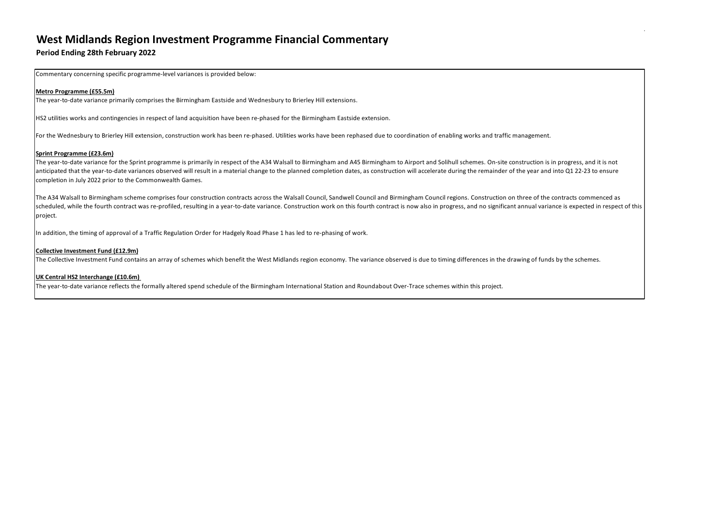## **West Midlands Region Investment Programme Financial Commentary**

## **Period Ending 28th February 2022**

Commentary concerning specific programme-level variances is provided below:

#### **Metro Programme (£55.5m)**

The year-to-date variance primarily comprises the Birmingham Eastside and Wednesbury to Brierley Hill extensions.

HS2 utilities works and contingencies in respect of land acquisition have been re-phased for the Birmingham Eastside extension.

For the Wednesbury to Brierley Hill extension, construction work has been re-phased. Utilities works have been rephased due to coordination of enabling works and traffic management.

#### **Sprint Programme (£23.6m)**

The year-to-date variance for the Sprint programme is primarily in respect of the A34 Walsall to Birmingham and A45 Birmingham to Airport and Solihull schemes. On-site construction is in progress, and it is not anticipated that the year-to-date variances observed will result in a material change to the planned completion dates, as construction will accelerate during the remainder of the year and into Q1 22-23 to ensure completion in July 2022 prior to the Commonwealth Games.

The A34 Walsall to Birmingham scheme comprises four construction contracts across the Walsall Council, Sandwell Council and Birmingham Council regions. Construction on three of the contracts commenced as scheduled, while the fourth contract was re-profiled, resulting in a year-to-date variance. Construction work on this fourth contract is now also in progress, and no significant annual variance is expected in respect of th project.

In addition, the timing of approval of a Traffic Regulation Order for Hadgely Road Phase 1 has led to re-phasing of work.

#### **Collective Investment Fund (£12.9m)**

The Collective Investment Fund contains an array of schemes which benefit the West Midlands region economy. The variance observed is due to timing differences in the drawing of funds by the schemes.

#### **UK Central HS2 Interchange (£10.6m)**

The year-to-date variance reflects the formally altered spend schedule of the Birmingham International Station and Roundabout Over-Trace schemes within this project.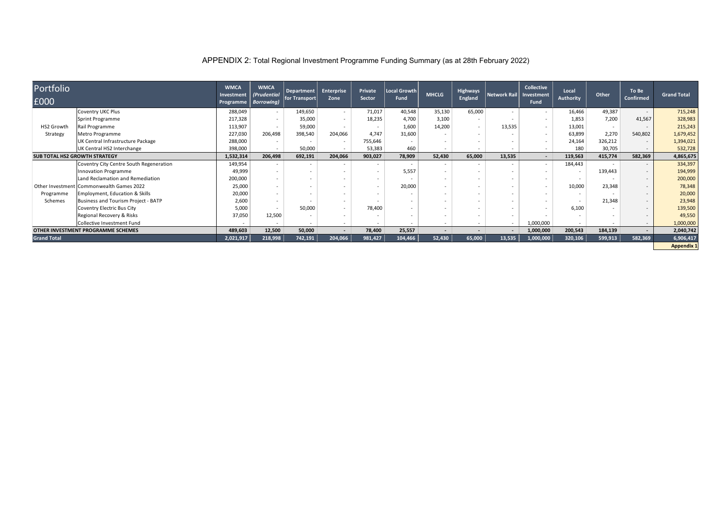APPENDIX 2: Total Regional Investment Programme Funding Summary (as at 28th February 2022)

| Portfolio                            |                                           | <b>WMCA</b>             | <b>WMCA</b>                       | <b>Department</b>     | <b>Enterprise</b>        | Private                  | Local Growth             |                          | <b>Highways</b>          |                          | <b>Collective</b>         | Local                    |         | To Be                    |                    |
|--------------------------------------|-------------------------------------------|-------------------------|-----------------------------------|-----------------------|--------------------------|--------------------------|--------------------------|--------------------------|--------------------------|--------------------------|---------------------------|--------------------------|---------|--------------------------|--------------------|
| £000                                 |                                           | Investment<br>Programme | (Prudential<br><b>Borrowing</b> ) | $ $ for Transport $ $ | Zone                     | <b>Sector</b>            | <b>Fund</b>              | <b>MHCLG</b>             | <b>England</b>           | Network Rail             | Investment<br><b>Fund</b> | <b>Authority</b>         | Other   | <b>Confirmed</b>         | <b>Grand Total</b> |
|                                      | <b>Coventry UKC Plus</b>                  | 288,049                 | $\sim$                            | 149,650               | $\sim$                   | 71,017                   | 40,548                   | 35,130                   | 65,000                   |                          | $\sim$                    | 16,466                   | 49,387  |                          | 715,248            |
|                                      | Sprint Programme                          | 217,328                 | $\sim$                            | 35,000                | $\sim$                   | 18,235                   | 4,700                    | 3,100                    | $\sim$                   |                          | $\overline{\phantom{a}}$  | 1,853                    | 7,200   | 41,567                   | 328,983            |
| <b>HS2 Growth</b>                    | Rail Programme                            | 113,907                 | $\sim$                            | 59,000                | $\overline{\phantom{a}}$ | $\sim$                   | 1,600                    | 14,200                   | $\sim$                   | 13,535                   | $\sim$                    | 13,001                   | $\sim$  |                          | 215,243            |
| Strategy                             | Metro Programme                           | 227,030                 | 206,498                           | 398,540               | 204,066                  | 4,747                    | 31,600                   |                          | $\overline{\phantom{a}}$ |                          | $\overline{\phantom{a}}$  | 63,899                   | 2,270   | 540,802                  | 1,679,452          |
|                                      | UK Central Infrastructure Package         | 288,000                 | $\sim$                            |                       | $\overline{\phantom{a}}$ | 755,646                  | $\overline{\phantom{a}}$ |                          | $\overline{\phantom{a}}$ |                          | $\overline{\phantom{a}}$  | 24,164                   | 326,212 |                          | 1,394,021          |
|                                      | UK Central HS2 Interchange                | 398,000                 | $\sim$                            | 50,000                | $\sim$                   | 53,383                   | 460                      | $\overline{\phantom{a}}$ | $\overline{\phantom{a}}$ | $\overline{\phantom{a}}$ | $\sim$                    | 180                      | 30,705  |                          | 532,728            |
| <b>SUB TOTAL HS2 GROWTH STRATEGY</b> |                                           | 1,532,314               | 206,498                           | 692,191               | 204,066                  | 903,027                  | 78,909                   | 52,430                   | 65,000                   | 13,535                   | $\overline{\phantom{a}}$  | 119,563                  | 415,774 | 582,369                  | 4,865,675          |
|                                      | Coventry City Centre South Regeneration   | 149,954                 |                                   |                       |                          | $\overline{\phantom{a}}$ | $\sim$                   | $\overline{\phantom{a}}$ | $\overline{\phantom{a}}$ |                          | $\sim$                    | 184,443                  |         |                          | 334,397            |
|                                      | Innovation Programme                      | 49,999                  | $\sim$                            |                       | $\overline{\phantom{a}}$ | $\overline{\phantom{a}}$ | 5,557                    | $\overline{\phantom{a}}$ | $\overline{\phantom{a}}$ | $\overline{\phantom{a}}$ | $\overline{\phantom{a}}$  | $\overline{\phantom{a}}$ | 139,443 |                          | 194,999            |
|                                      | Land Reclamation and Remediation          | 200,000                 |                                   |                       | $\overline{\phantom{a}}$ | $\overline{\phantom{0}}$ | $\overline{\phantom{a}}$ | $\overline{\phantom{0}}$ | $\overline{\phantom{a}}$ |                          |                           |                          |         |                          | 200,000            |
|                                      | Other Investment Commonwealth Games 2022  | 25,000                  |                                   |                       |                          | $\overline{\phantom{0}}$ | 20,000                   |                          | $\overline{\phantom{0}}$ |                          | $\overline{\phantom{a}}$  | 10,000                   | 23,348  |                          | 78,348             |
| Programme                            | <b>Employment, Education &amp; Skills</b> | 20,000                  |                                   |                       |                          | $\overline{\phantom{a}}$ | $\overline{\phantom{a}}$ |                          | $\overline{\phantom{a}}$ |                          | $\overline{\phantom{a}}$  | $\overline{\phantom{a}}$ |         |                          | 20,000             |
| Schemes                              | Business and Tourism Project - BATP       | 2,600                   |                                   |                       | $\sim$                   |                          | $\overline{\phantom{a}}$ |                          | $\overline{\phantom{a}}$ |                          |                           |                          | 21,348  |                          | 23,948             |
|                                      | Coventry Electric Bus City                | 5,000                   | $\sim$                            | 50,000                | $\overline{\phantom{a}}$ | 78,400                   | $\overline{\phantom{a}}$ |                          | $\overline{\phantom{a}}$ |                          | $\overline{\phantom{a}}$  | 6,100                    |         |                          | 139,500            |
|                                      | Regional Recovery & Risks                 | 37,050                  | 12,500                            |                       | $\overline{\phantom{a}}$ |                          | $\overline{\phantom{a}}$ |                          | $\overline{\phantom{a}}$ |                          |                           |                          |         |                          | 49,550             |
|                                      | Collective Investment Fund                |                         |                                   |                       | $\sim$                   |                          | $\overline{\phantom{a}}$ | $\overline{\phantom{a}}$ | $\overline{\phantom{a}}$ |                          | 1,000,000                 | $\sim$                   |         | $\sim$                   | 1,000,000          |
|                                      | <b>OTHER INVESTMENT PROGRAMME SCHEMES</b> | 489,603                 | 12,500                            | 50,000                | $\sim$                   | 78,400                   | 25,557                   | $\sim$                   | $\overline{\phantom{a}}$ |                          | 1,000,000                 | 200,543                  | 184,139 | $\overline{\phantom{0}}$ | 2,040,742          |
| <b>Grand Total</b>                   |                                           | 2,021,917               | 218,998                           | 742,191               | 204,066                  | 981,427                  | 104,466                  | 52,430                   | 65,000                   | 13,535                   | 1,000,000                 | 320,106                  | 599,913 | 582,369                  | 6,906,417          |
|                                      |                                           |                         |                                   |                       |                          |                          |                          |                          |                          |                          |                           |                          |         |                          | <b>Appendix 1</b>  |